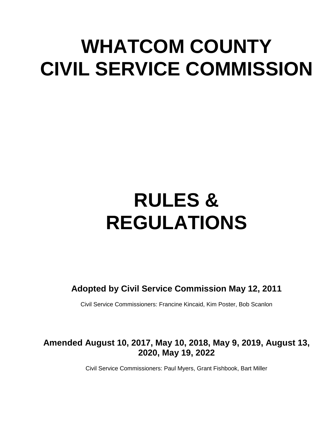# **WHATCOM COUNTY CIVIL SERVICE COMMISSION**

# **RULES & REGULATIONS**

**Adopted by Civil Service Commission May 12, 2011**

Civil Service Commissioners: Francine Kincaid, Kim Poster, Bob Scanlon

# **Amended August 10, 2017, May 10, 2018, May 9, 2019, August 13, 2020, May 19, 2022**

Civil Service Commissioners: Paul Myers, Grant Fishbook, Bart Miller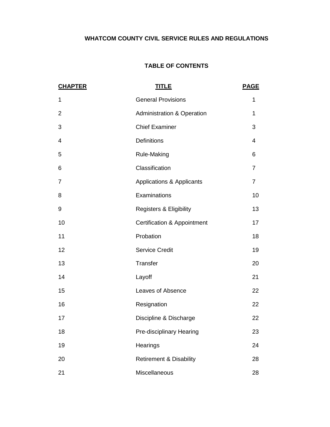# **WHATCOM COUNTY CIVIL SERVICE RULES AND REGULATIONS**

# **TABLE OF CONTENTS**

| <b>CHAPTER</b> | <u>TITLE</u>                           | <b>PAGE</b>    |
|----------------|----------------------------------------|----------------|
| 1              | <b>General Provisions</b>              | 1              |
| $\overline{2}$ | <b>Administration &amp; Operation</b>  | 1              |
| 3              | <b>Chief Examiner</b>                  | 3              |
| 4              | <b>Definitions</b>                     | 4              |
| 5              | <b>Rule-Making</b>                     | 6              |
| 6              | Classification                         | $\overline{7}$ |
| 7              | Applications & Applicants              | $\overline{7}$ |
| 8              | Examinations                           | 10             |
| 9              | <b>Registers &amp; Eligibility</b>     | 13             |
| 10             | <b>Certification &amp; Appointment</b> | 17             |
| 11             | Probation                              | 18             |
| 12             | <b>Service Credit</b>                  | 19             |
| 13             | Transfer                               | 20             |
| 14             | Layoff                                 | 21             |
| 15             | Leaves of Absence                      | 22             |
| 16             | Resignation                            | 22             |
| 17             | Discipline & Discharge                 | 22             |
| 18             | Pre-disciplinary Hearing               | 23             |
| 19             | Hearings                               | 24             |
| 20             | <b>Retirement &amp; Disability</b>     | 28             |
| 21             | Miscellaneous                          | 28             |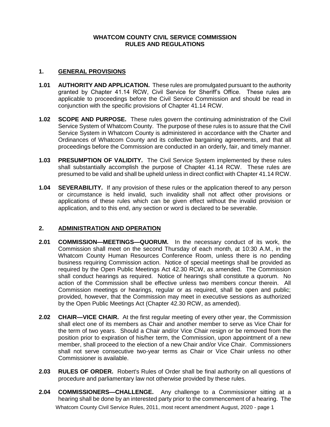# **WHATCOM COUNTY CIVIL SERVICE COMMISSION RULES AND REGULATIONS**

### **1. GENERAL PROVISIONS**

- **1.01 AUTHORITY AND APPLICATION.** These rules are promulgated pursuant to the authority granted by Chapter 41.14 RCW, Civil Service for Sheriff's Office. These rules are applicable to proceedings before the Civil Service Commission and should be read in conjunction with the specific provisions of Chapter 41.14 RCW.
- **1.02 SCOPE AND PURPOSE.** These rules govern the continuing administration of the Civil Service System of Whatcom County. The purpose of these rules is to assure that the Civil Service System in Whatcom County is administered in accordance with the Charter and Ordinances of Whatcom County and its collective bargaining agreements, and that all proceedings before the Commission are conducted in an orderly, fair, and timely manner.
- **1.03 PRESUMPTION OF VALIDITY.** The Civil Service System implemented by these rules shall substantially accomplish the purpose of Chapter 41.14 RCW. These rules are presumed to be valid and shall be upheld unless in direct conflict with Chapter 41.14 RCW.
- **1.04 SEVERABILITY.** If any provision of these rules or the application thereof to any person or circumstance is held invalid, such invalidity shall not affect other provisions or applications of these rules which can be given effect without the invalid provision or application, and to this end, any section or word is declared to be severable.

# **2. ADMINISTRATION AND OPERATION**

- **2.01 COMMISSION—MEETINGS—QUORUM.** In the necessary conduct of its work, the Commission shall meet on the second Thursday of each month, at 10:30 A.M., in the Whatcom County Human Resources Conference Room, unless there is no pending business requiring Commission action. Notice of special meetings shall be provided as required by the Open Public Meetings Act 42.30 RCW, as amended. The Commission shall conduct hearings as required. Notice of hearings shall constitute a quorum. No action of the Commission shall be effective unless two members concur therein. All Commission meetings or hearings, regular or as required, shall be open and public; provided, however, that the Commission may meet in executive sessions as authorized by the Open Public Meetings Act (Chapter 42.30 RCW, as amended).
- **2.02 CHAIR—VICE CHAIR.** At the first regular meeting of every other year, the Commission shall elect one of its members as Chair and another member to serve as Vice Chair for the term of two years. Should a Chair and/or Vice Chair resign or be removed from the position prior to expiration of his/her term, the Commission, upon appointment of a new member, shall proceed to the election of a new Chair and/or Vice Chair. Commissioners shall not serve consecutive two-year terms as Chair or Vice Chair unless no other Commissioner is available.
- **2.03 RULES OF ORDER.** Robert's Rules of Order shall be final authority on all questions of procedure and parliamentary law not otherwise provided by these rules.
- Whatcom County Civil Service Rules, 2011, most recent amendment August, 2020 page 1 **2.04 COMMISSIONERS—CHALLENGE.** Any challenge to a Commissioner sitting at a hearing shall be done by an interested party prior to the commencement of a hearing. The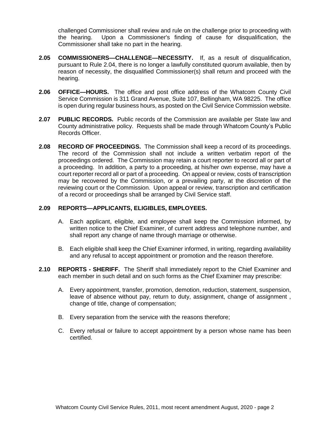challenged Commissioner shall review and rule on the challenge prior to proceeding with the hearing. Upon a Commissioner's finding of cause for disqualification, the Commissioner shall take no part in the hearing.

- **2.05 COMMISSIONERS—CHALLENGE—NECESSITY.** If, as a result of disqualification, pursuant to Rule 2.04, there is no longer a lawfully constituted quorum available, then by reason of necessity, the disqualified Commissioner(s) shall return and proceed with the hearing.
- **2.06 OFFICE—HOURS.** The office and post office address of the Whatcom County Civil Service Commission is 311 Grand Avenue, Suite 107, Bellingham, WA 98225. The office is open during regular business hours, as posted on the Civil Service Commission website.
- **2.07 PUBLIC RECORDS.** Public records of the Commission are available per State law and County administrative policy. Requests shall be made through Whatcom County's Public Records Officer.
- **2.08 RECORD OF PROCEEDINGS.** The Commission shall keep a record of its proceedings. The record of the Commission shall not include a written verbatim report of the proceedings ordered. The Commission may retain a court reporter to record all or part of a proceeding. In addition, a party to a proceeding, at his/her own expense, may have a court reporter record all or part of a proceeding. On appeal or review, costs of transcription may be recovered by the Commission, or a prevailing party, at the discretion of the reviewing court or the Commission. Upon appeal or review, transcription and certification of a record or proceedings shall be arranged by Civil Service staff.

# **2.09 REPORTS—APPLICANTS, ELIGIBLES, EMPLOYEES.**

- A. Each applicant, eligible, and employee shall keep the Commission informed, by written notice to the Chief Examiner, of current address and telephone number, and shall report any change of name through marriage or otherwise.
- B. Each eligible shall keep the Chief Examiner informed, in writing, regarding availability and any refusal to accept appointment or promotion and the reason therefore.
- **2.10 REPORTS - SHERIFF.** The Sheriff shall immediately report to the Chief Examiner and each member in such detail and on such forms as the Chief Examiner may prescribe:
	- A. Every appointment, transfer, promotion, demotion, reduction, statement, suspension, leave of absence without pay, return to duty, assignment, change of assignment , change of title, change of compensation;
	- B. Every separation from the service with the reasons therefore;
	- C. Every refusal or failure to accept appointment by a person whose name has been certified.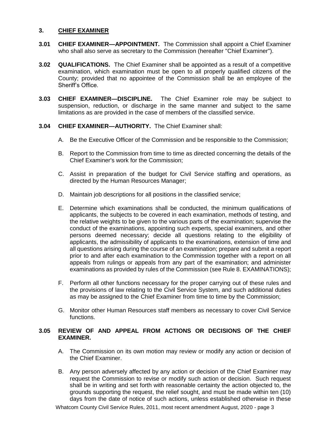### **3. CHIEF EXAMINER**

- **3.01 CHIEF EXAMINER—APPOINTMENT.** The Commission shall appoint a Chief Examiner who shall also serve as secretary to the Commission (hereafter "Chief Examiner").
- **3.02 QUALIFICATIONS.** The Chief Examiner shall be appointed as a result of a competitive examination, which examination must be open to all properly qualified citizens of the County; provided that no appointee of the Commission shall be an employee of the Sheriff's Office.
- **3.03 CHIEF EXAMINER—DISCIPLINE.** The Chief Examiner role may be subject to suspension, reduction, or discharge in the same manner and subject to the same limitations as are provided in the case of members of the classified service.

### **3.04 CHIEF EXAMINER—AUTHORITY.** The Chief Examiner shall:

- A. Be the Executive Officer of the Commission and be responsible to the Commission;
- B. Report to the Commission from time to time as directed concerning the details of the Chief Examiner's work for the Commission;
- C. Assist in preparation of the budget for Civil Service staffing and operations, as directed by the Human Resources Manager;
- D. Maintain job descriptions for all positions in the classified service;
- E. Determine which examinations shall be conducted, the minimum qualifications of applicants, the subjects to be covered in each examination, methods of testing, and the relative weights to be given to the various parts of the examination; supervise the conduct of the examinations, appointing such experts, special examiners, and other persons deemed necessary; decide all questions relating to the eligibility of applicants, the admissibility of applicants to the examinations, extension of time and all questions arising during the course of an examination; prepare and submit a report prior to and after each examination to the Commission together with a report on all appeals from rulings or appeals from any part of the examination; and administer examinations as provided by rules of the Commission (see Rule 8. EXAMINATIONS);
- F. Perform all other functions necessary for the proper carrying out of these rules and the provisions of law relating to the Civil Service System, and such additional duties as may be assigned to the Chief Examiner from time to time by the Commission;
- G. Monitor other Human Resources staff members as necessary to cover Civil Service functions.

# **3.05 REVIEW OF AND APPEAL FROM ACTIONS OR DECISIONS OF THE CHIEF EXAMINER.**

- A. The Commission on its own motion may review or modify any action or decision of the Chief Examiner.
- B. Any person adversely affected by any action or decision of the Chief Examiner may request the Commission to revise or modify such action or decision. Such request shall be in writing and set forth with reasonable certainty the action objected to, the grounds supporting the request, the relief sought, and must be made within ten (10) days from the date of notice of such actions, unless established otherwise in these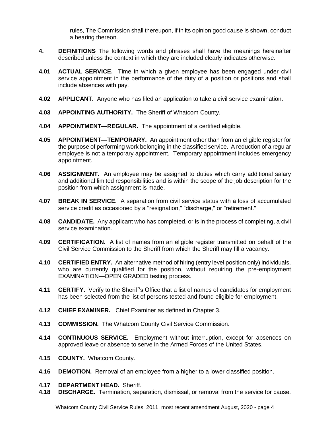rules, The Commission shall thereupon, if in its opinion good cause is shown, conduct a hearing thereon.

- **4. DEFINITIONS** The following words and phrases shall have the meanings hereinafter described unless the context in which they are included clearly indicates otherwise.
- **4.01 ACTUAL SERVICE.** Time in which a given employee has been engaged under civil service appointment in the performance of the duty of a position or positions and shall include absences with pay.
- **4.02 APPLICANT.** Anyone who has filed an application to take a civil service examination.
- **4.03 APPOINTING AUTHORITY.** The Sheriff of Whatcom County.
- **4.04 APPOINTMENT—REGULAR.** The appointment of a certified eligible.
- **4.05 APPOINTMENT—TEMPORARY.** An appointment other than from an eligible register for the purpose of performing work belonging in the classified service. A reduction of a regular employee is not a temporary appointment. Temporary appointment includes emergency appointment.
- **4.06 ASSIGNMENT.** An employee may be assigned to duties which carry additional salary and additional limited responsibilities and is within the scope of the job description for the position from which assignment is made.
- **4.07 BREAK IN SERVICE.** A separation from civil service status with a loss of accumulated service credit as occasioned by a "resignation," "discharge," or "retirement."
- **4.08 CANDIDATE.** Any applicant who has completed, or is in the process of completing, a civil service examination.
- **4.09 CERTIFICATION.** A list of names from an eligible register transmitted on behalf of the Civil Service Commission to the Sheriff from which the Sheriff may fill a vacancy.
- **4.10 CERTIFIED ENTRY.** An alternative method of hiring (entry level position only) individuals, who are currently qualified for the position, without requiring the pre-employment EXAMlNATION—OPEN GRADED testing process.
- **4.11 CERTIFY.** Verify to the Sheriff's Office that a list of names of candidates for employment has been selected from the list of persons tested and found eligible for employment.
- **4.12 CHIEF EXAMINER.** Chief Examiner as defined in Chapter 3.
- **4.13 COMMISSION.** The Whatcom County Civil Service Commission.
- **4.14 CONTINUOUS SERVICE.** Employment without interruption, except for absences on approved leave or absence to serve in the Armed Forces of the United States.
- **4.15 COUNTY.** Whatcom County.
- **4.16 DEMOTION.** Removal of an employee from a higher to a lower classified position.
- **4.17 DEPARTMENT HEAD.** Sheriff.
- **4.18 DISCHARGE.** Termination, separation, dismissal, or removal from the service for cause.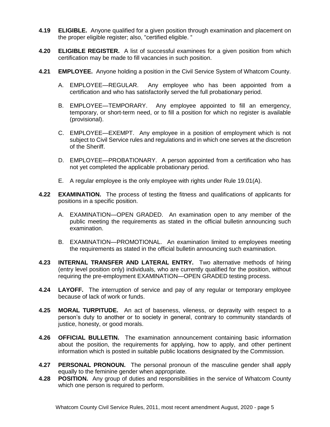- **4.19 ELIGIBLE.** Anyone qualified for a given position through examination and placement on the proper eligible register; also, "certified eligible. "
- **4.20 ELIGIBLE REGISTER.** A list of successful examinees for a given position from which certification may be made to fill vacancies in such position.
- **4.21 EMPLOYEE.** Anyone holding a position in the Civil Service System of Whatcom County.
	- A. EMPLOYEE—REGULAR. Any employee who has been appointed from a certification and who has satisfactorily served the full probationary period.
	- B. EMPLOYEE—TEMPORARY. Any employee appointed to fill an emergency, temporary, or short-term need, or to fill a position for which no register is available (provisional).
	- C. EMPLOYEE—EXEMPT. Any employee in a position of employment which is not subject to Civil Service rules and regulations and in which one serves at the discretion of the Sheriff.
	- D. EMPLOYEE—PROBATIONARY. A person appointed from a certification who has not yet completed the applicable probationary period.
	- E. A regular employee is the only employee with rights under Rule 19.01(A).
- **4.22 EXAMINATION.** The process of testing the fitness and qualifications of applicants for positions in a specific position.
	- A. EXAMINATION—OPEN GRADED. An examination open to any member of the public meeting the requirements as stated in the official bulletin announcing such examination.
	- B. EXAMINATION—PROMOTIONAL. An examination limited to employees meeting the requirements as stated in the official bulletin announcing such examination.
- **4.23 INTERNAL TRANSFER AND LATERAL ENTRY.** Two alternative methods of hiring (entry level position only) individuals, who are currently qualified for the position, without requiring the pre-employment EXAMlNATION—OPEN GRADED testing process.
- **4.24 LAYOFF.** The interruption of service and pay of any regular or temporary employee because of lack of work or funds.
- **4.25 MORAL TURPITUDE.** An act of baseness, vileness, or depravity with respect to a person's duty to another or to society in general, contrary to community standards of justice, honesty, or good morals.
- **4.26 OFFICIAL BULLETIN.** The examination announcement containing basic information about the position, the requirements for applying, how to apply, and other pertinent information which is posted in suitable public locations designated by the Commission.
- **4.27 PERSONAL PRONOUN.** The personal pronoun of the masculine gender shall apply equally to the feminine gender when appropriate.
- **4.28 POSITION.** Any group of duties and responsibilities in the service of Whatcom County which one person is required to perform.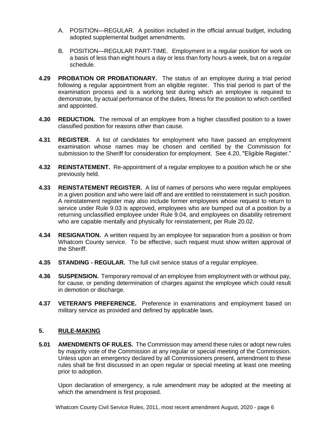- A. POSITION—REGULAR. A position included in the official annual budget, including adopted supplemental budget amendments.
- B. POSITION—REGULAR PART-TIME. Employment in a regular position for work on a basis of less than eight hours a day or less than forty hours a week, but on a regular schedule.
- **4.29 PROBATION OR PROBATIONARY.** The status of an employee during a trial period following a regular appointment from an eligible register. This trial period is part of the examination process and is a working test during which an employee is required to demonstrate, by actual performance of the duties, fitness for the position to which certified and appointed.
- **4.30 REDUCTION.** The removal of an employee from a higher classified position to a lower classified position for reasons other than cause.
- **4.31 REGISTER.** A list of candidates for employment who have passed an employment examination whose names may be chosen and certified by the Commission for submission to the Sheriff for consideration for employment. See 4.20, "Eligible Register."
- **4.32 REINSTATEMENT.** Re-appointment of a regular employee to a position which he or she previously held.
- **4.33 REINSTATEMENT REGISTER.** A list of names of persons who were regular employees in a given position and who were laid off and are entitled to reinstatement in such position. A reinstatement register may also include former employees whose request to return to service under Rule 9.03 is approved, employees who are bumped out of a position by a returning unclassified employee under Rule 9.04, and employees on disability retirement who are capable mentally and physically for reinstatement, per Rule 20.02.
- **4.34 RESIGNATION.** A written request by an employee for separation from a position or from Whatcom County service. To be effective, such request must show written approval of the Sheriff.
- **4.35 STANDING - REGULAR.** The full civil service status of a regular employee.
- **4.36 SUSPENSION.** Temporary removal of an employee from employment with or without pay, for cause, or pending determination of charges against the employee which could result in demotion or discharge.
- **4.37 VETERAN'S PREFERENCE.** Preference in examinations and employment based on military service as provided and defined by applicable laws.

# **5. RULE-MAKING**

**5.01 AMENDMENTS OF RULES.** The Commission may amend these rules or adopt new rules by majority vote of the Commission at any regular or special meeting of the Commission. Unless upon an emergency declared by all Commissioners present, amendment to these rules shall be first discussed in an open regular or special meeting at least one meeting prior to adoption.

Upon declaration of emergency, a rule amendment may be adopted at the meeting at which the amendment is first proposed.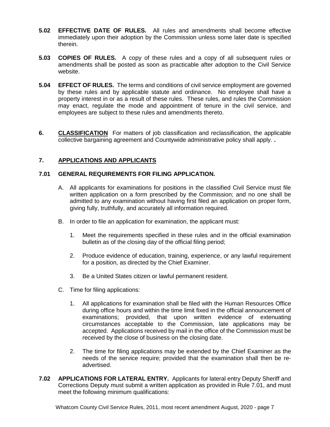- **5.02 EFFECTIVE DATE OF RULES.** All rules and amendments shall become effective immediately upon their adoption by the Commission unless some later date is specified therein.
- **5.03 COPIES OF RULES.** A copy of these rules and a copy of all subsequent rules or amendments shall be posted as soon as practicable after adoption to the Civil Service website.
- **5.04 EFFECT OF RULES.** The terms and conditions of civil service employment are governed by these rules and by applicable statute and ordinance. No employee shall have a property interest in or as a result of these rules. These rules, and rules the Commission may enact, regulate the mode and appointment of tenure in the civil service, and employees are subject to these rules and amendments thereto.
- **6. CLASSIFICATION** For matters of job classification and reclassification, the applicable collective bargaining agreement and Countywide administrative policy shall apply. **.**

# **7. APPLICATIONS AND APPLICANTS**

# **7.01 GENERAL REQUIREMENTS FOR FILING APPLICATION.**

- A. All applicants for examinations for positions in the classified Civil Service must file written application on a form prescribed by the Commission; and no one shall be admitted to any examination without having first filed an application on proper form, giving fully, truthfully, and accurately all information required.
- B. In order to file an application for examination, the applicant must:
	- 1. Meet the requirements specified in these rules and in the official examination bulletin as of the closing day of the official filing period;
	- 2. Produce evidence of education, training, experience, or any lawful requirement for a position, as directed by the Chief Examiner.
	- 3. Be a United States citizen or lawful permanent resident.
- C. Time for filing applications:
	- 1. All applications for examination shall be filed with the Human Resources Office during office hours and within the time limit fixed in the official announcement of examinations; provided, that upon written evidence of extenuating circumstances acceptable to the Commission, late applications may be accepted. Applications received by mail in the office of the Commission must be received by the close of business on the closing date.
	- 2. The time for filing applications may be extended by the Chief Examiner as the needs of the service require; provided that the examination shall then be readvertised.
- **7.02 APPLICATIONS FOR LATERAL ENTRY.** Applicants for lateral entry Deputy Sheriff and Corrections Deputy must submit a written application as provided in Rule 7.01, and must meet the following minimum qualifications: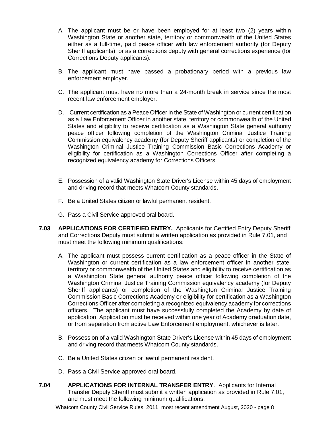- A. The applicant must be or have been employed for at least two (2) years within Washington State or another state, territory or commonwealth of the United States either as a full-time, paid peace officer with law enforcement authority (for Deputy Sheriff applicants), or as a corrections deputy with general corrections experience (for Corrections Deputy applicants).
- B. The applicant must have passed a probationary period with a previous law enforcement employer.
- C. The applicant must have no more than a 24-month break in service since the most recent law enforcement employer.
- D. Current certification as a Peace Officer in the State of Washington or current certification as a Law Enforcement Officer in another state, territory or commonwealth of the United States and eligibility to receive certification as a Washington State general authority peace officer following completion of the Washington Criminal Justice Training Commission equivalency academy (for Deputy Sheriff applicants) or completion of the Washington Criminal Justice Training Commission Basic Corrections Academy or eligibility for certification as a Washington Corrections Officer after completing a recognized equivalency academy for Corrections Officers.
- E. Possession of a valid Washington State Driver's License within 45 days of employment and driving record that meets Whatcom County standards.
- F. Be a United States citizen or lawful permanent resident.
- G. Pass a Civil Service approved oral board.
- **7.03 APPLICATIONS FOR CERTIFIED ENTRY.** Applicants for Certified Entry Deputy Sheriff and Corrections Deputy must submit a written application as provided in Rule 7.01, and must meet the following minimum qualifications:
	- A. The applicant must possess current certification as a peace officer in the State of Washington or current certification as a law enforcement officer in another state, territory or commonwealth of the United States and eligibility to receive certification as a Washington State general authority peace officer following completion of the Washington Criminal Justice Training Commission equivalency academy (for Deputy Sheriff applicants) or completion of the Washington Criminal Justice Training Commission Basic Corrections Academy or eligibility for certification as a Washington Corrections Officer after completing a recognized equivalency academy for corrections officers. The applicant must have successfully completed the Academy by date of application. Application must be received within one year of Academy graduation date, or from separation from active Law Enforcement employment, whichever is later.
	- B. Possession of a valid Washington State Driver's License within 45 days of employment and driving record that meets Whatcom County standards.
	- C. Be a United States citizen or lawful permanent resident.
	- D. Pass a Civil Service approved oral board.
- **7.04 APPLICATIONS FOR INTERNAL TRANSFER ENTRY**. Applicants for Internal Transfer Deputy Sheriff must submit a written application as provided in Rule 7.01, and must meet the following minimum qualifications: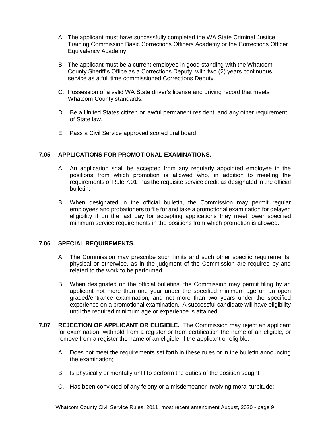- A. The applicant must have successfully completed the WA State Criminal Justice Training Commission Basic Corrections Officers Academy or the Corrections Officer Equivalency Academy.
- B. The applicant must be a current employee in good standing with the Whatcom County Sheriff's Office as a Corrections Deputy, with two (2) years continuous service as a full time commissioned Corrections Deputy.
- C. Possession of a valid WA State driver's license and driving record that meets Whatcom County standards.
- D. Be a United States citizen or lawful permanent resident, and any other requirement of State law.
- E. Pass a Civil Service approved scored oral board.

### **7.05 APPLICATIONS FOR PROMOTIONAL EXAMINATIONS.**

- A. An application shall be accepted from any regularly appointed employee in the positions from which promotion is allowed who, in addition to meeting the requirements of Rule 7.01, has the requisite service credit as designated in the official bulletin.
- B. When designated in the official bulletin, the Commission may permit regular employees and probationers to file for and take a promotional examination for delayed eligibility if on the last day for accepting applications they meet lower specified minimum service requirements in the positions from which promotion is allowed.

#### **7.06 SPECIAL REQUIREMENTS.**

- A. The Commission may prescribe such limits and such other specific requirements, physical or otherwise, as in the judgment of the Commission are required by and related to the work to be performed.
- B. When designated on the official bulletins, the Commission may permit filing by an applicant not more than one year under the specified minimum age on an open graded/entrance examination, and not more than two years under the specified experience on a promotional examination. A successful candidate will have eligibility until the required minimum age or experience is attained.
- **7.07 REJECTION OF APPLICANT OR ELIGIBLE.** The Commission may reject an applicant for examination, withhold from a register or from certification the name of an eligible, or remove from a register the name of an eligible, if the applicant or eligible:
	- A. Does not meet the requirements set forth in these rules or in the bulletin announcing the examination;
	- B. Is physically or mentally unfit to perform the duties of the position sought;
	- C. Has been convicted of any felony or a misdemeanor involving moral turpitude;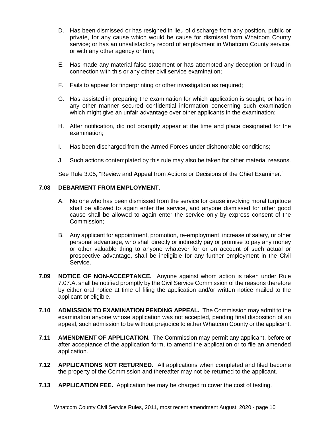- D. Has been dismissed or has resigned in lieu of discharge from any position, public or private, for any cause which would be cause for dismissal from Whatcom County service; or has an unsatisfactory record of employment in Whatcom County service, or with any other agency or firm;
- E. Has made any material false statement or has attempted any deception or fraud in connection with this or any other civil service examination;
- F. Fails to appear for fingerprinting or other investigation as required;
- G. Has assisted in preparing the examination for which application is sought, or has in any other manner secured confidential information concerning such examination which might give an unfair advantage over other applicants in the examination;
- H. After notification, did not promptly appear at the time and place designated for the examination;
- I. Has been discharged from the Armed Forces under dishonorable conditions;
- J. Such actions contemplated by this rule may also be taken for other material reasons.

See Rule 3.05, "Review and Appeal from Actions or Decisions of the Chief Examiner."

# **7.08 DEBARMENT FROM EMPLOYMENT.**

- A. No one who has been dismissed from the service for cause involving moral turpitude shall be allowed to again enter the service, and anyone dismissed for other good cause shall be allowed to again enter the service only by express consent of the Commission;
- B. Any applicant for appointment, promotion, re-employment, increase of salary, or other personal advantage, who shall directly or indirectly pay or promise to pay any money or other valuable thing to anyone whatever for or on account of such actual or prospective advantage, shall be ineligible for any further employment in the Civil Service.
- **7.09 NOTICE OF NON-ACCEPTANCE.** Anyone against whom action is taken under Rule 7.07.A. shall be notified promptly by the Civil Service Commission of the reasons therefore by either oral notice at time of filing the application and/or written notice mailed to the applicant or eligible.
- **7.10 ADMISSION TO EXAMINATION PENDING APPEAL.** The Commission may admit to the examination anyone whose application was not accepted, pending final disposition of an appeal, such admission to be without prejudice to either Whatcom County or the applicant.
- **7.11 AMENDMENT OF APPLICATION.** The Commission may permit any applicant, before or after acceptance of the application form, to amend the application or to file an amended application.
- **7.12 APPLICATIONS NOT RETURNED.** All applications when completed and filed become the property of the Commission and thereafter may not be returned to the applicant.
- **7.13 APPLICATION FEE.** Application fee may be charged to cover the cost of testing.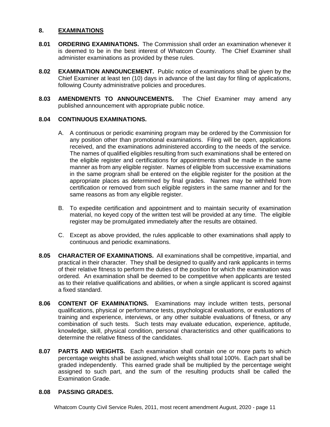#### **8. EXAMINATIONS**

- **8.01 ORDERING EXAMINATIONS.** The Commission shall order an examination whenever it is deemed to be in the best interest of Whatcom County. The Chief Examiner shall administer examinations as provided by these rules.
- **8.02 EXAMINATION ANNOUNCEMENT.** Public notice of examinations shall be given by the Chief Examiner at least ten (10) days in advance of the last day for filing of applications, following County administrative policies and procedures.
- **8.03 AMENDMENTS TO ANNOUNCEMENTS.** The Chief Examiner may amend any published announcement with appropriate public notice.

### **8.04 CONTINUOUS EXAMINATIONS.**

- A. A continuous or periodic examining program may be ordered by the Commission for any position other than promotional examinations. Filing will be open, applications received, and the examinations administered according to the needs of the service. The names of qualified eligibles resulting from such examinations shall be entered on the eligible register and certifications for appointments shall be made in the same manner as from any eligible register. Names of eligible from successive examinations in the same program shall be entered on the eligible register for the position at the appropriate places as determined by final grades. Names may be withheld from certification or removed from such eligible registers in the same manner and for the same reasons as from any eligible register.
- B. To expedite certification and appointment and to maintain security of examination material, no keyed copy of the written test will be provided at any time. The eligible register may be promulgated immediately after the results are obtained.
- C. Except as above provided, the rules applicable to other examinations shall apply to continuous and periodic examinations.
- **8.05 CHARACTER OF EXAMINATIONS.** All examinations shall be competitive, impartial, and practical in their character. They shall be designed to qualify and rank applicants in terms of their relative fitness to perform the duties of the position for which the examination was ordered. An examination shall be deemed to be competitive when applicants are tested as to their relative qualifications and abilities, or when a single applicant is scored against a fixed standard.
- **8.06 CONTENT OF EXAMINATIONS.** Examinations may include written tests, personal qualifications, physical or performance tests, psychological evaluations, or evaluations of training and experience, interviews, or any other suitable evaluations of fitness, or any combination of such tests. Such tests may evaluate education, experience, aptitude, knowledge, skill, physical condition, personal characteristics and other qualifications to determine the relative fitness of the candidates.
- **8.07 PARTS AND WEIGHTS.** Each examination shall contain one or more parts to which percentage weights shall be assigned, which weights shall total 100%. Each part shall be graded independently. This earned grade shall be multiplied by the percentage weight assigned to such part, and the sum of the resulting products shall be called the Examination Grade.

#### **8.08 PASSING GRADES.**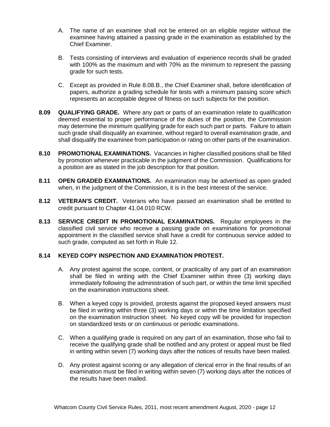- A. The name of an examinee shall not be entered on an eligible register without the examinee having attained a passing grade in the examination as established by the Chief Examiner.
- B. Tests consisting of interviews and evaluation of experience records shall be graded with 100% as the maximum and with 70% as the minimum to represent the passing grade for such tests.
- C. Except as provided in Rule 8.08.B., the Chief Examiner shall, before identification of papers, authorize a grading schedule for tests with a minimum passing score which represents an acceptable degree of fitness on such subjects for the position.
- **8.09 QUALIFYING GRADE.** Where any part or parts of an examination relate to qualification deemed essential to proper performance of the duties of the position, the Commission may determine the minimum qualifying grade for each such part or parts. Failure to attain such grade shall disqualify an examinee, without regard to overall examination grade, and shall disqualify the examinee from participation or rating on other parts of the examination.
- **8.10 PROMOTIONAL EXAMINATIONS.** Vacancies in higher classified positions shall be filled by promotion whenever practicable in the judgment of the Commission. Qualifications for a position are as stated in the job description for that position.
- **8.11 OPEN GRADED EXAMINATIONS.** An examination may be advertised as open graded when, in the judgment of the Commission, it is in the best interest of the service.
- **8.12 VETERAN'S CREDIT.** Veterans who have passed an examination shall be entitled to credit pursuant to Chapter 41.04.010 RCW.
- **8.13 SERVICE CREDIT IN PROMOTIONAL EXAMINATIONS.** Regular employees in the classified civil service who receive a passing grade on examinations for promotional appointment in the classified service shall have a credit for continuous service added to such grade, computed as set forth in Rule 12.

# **8.14 KEYED COPY INSPECTION AND EXAMINATION PROTEST.**

- A. Any protest against the scope, content, or practicality of any part of an examination shall be filed in writing with the Chief Examiner within three (3) working days immediately following the administration of such part, or within the time limit specified on the examination instructions sheet.
- B. When a keyed copy is provided, protests against the proposed keyed answers must be filed in writing within three (3) working days or within the time limitation specified on the examination instruction sheet. No keyed copy will be provided for inspection on standardized tests or on continuous or periodic examinations.
- C. When a qualifying grade is required on any part of an examination, those who fail to receive the qualifying grade shall be notified and any protest or appeal must be filed in writing within seven (7) working days after the notices of results have been mailed.
- D. Any protest against scoring or any allegation of clerical error in the final results of an examination must be filed in writing within seven (7) working days after the notices of the results have been mailed.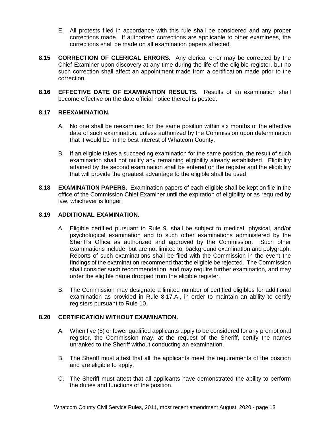- E. All protests filed in accordance with this rule shall be considered and any proper corrections made. If authorized corrections are applicable to other examinees, the corrections shall be made on all examination papers affected.
- **8.15 CORRECTION OF CLERICAL ERRORS.** Any clerical error may be corrected by the Chief Examiner upon discovery at any time during the life of the eligible register, but no such correction shall affect an appointment made from a certification made prior to the correction.
- **8.16 EFFECTIVE DATE OF EXAMINATION RESULTS.** Results of an examination shall become effective on the date official notice thereof is posted.

# **8.17 REEXAMINATION.**

- A. No one shall be reexamined for the same position within six months of the effective date of such examination, unless authorized by the Commission upon determination that it would be in the best interest of Whatcom County.
- B. If an eligible takes a succeeding examination for the same position, the result of such examination shall not nullify any remaining eligibility already established. Eligibility attained by the second examination shall be entered on the register and the eligibility that will provide the greatest advantage to the eligible shall be used.
- **8.18 EXAMINATION PAPERS.** Examination papers of each eligible shall be kept on file in the office of the Commission Chief Examiner until the expiration of eligibility or as required by law, whichever is longer.

# **8.19 ADDITIONAL EXAMINATION.**

- A. Eligible certified pursuant to Rule 9. shall be subject to medical, physical, and/or psychological examination and to such other examinations administered by the Sheriff's Office as authorized and approved by the Commission. Such other examinations include, but are not limited to, background examination and polygraph. Reports of such examinations shall be filed with the Commission in the event the findings of the examination recommend that the eligible be rejected. The Commission shall consider such recommendation, and may require further examination, and may order the eligible name dropped from the eligible register.
- B. The Commission may designate a limited number of certified eligibles for additional examination as provided in Rule 8.17.A., in order to maintain an ability to certify registers pursuant to Rule 10.

# **8.20 CERTIFICATION WITHOUT EXAMINATION.**

- A. When five (5) or fewer qualified applicants apply to be considered for any promotional register, the Commission may, at the request of the Sheriff, certify the names unranked to the Sheriff without conducting an examination.
- B. The Sheriff must attest that all the applicants meet the requirements of the position and are eligible to apply.
- C. The Sheriff must attest that all applicants have demonstrated the ability to perform the duties and functions of the position.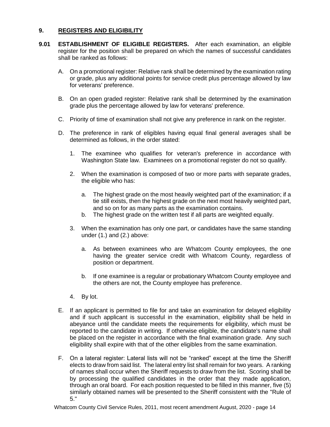# **9. REGISTERS AND ELIGIBILITY**

- **9.01 ESTABLISHMENT OF ELIGIBLE REGISTERS.** After each examination, an eligible register for the position shall be prepared on which the names of successful candidates shall be ranked as follows:
	- A. On a promotional register: Relative rank shall be determined by the examination rating or grade, plus any additional points for service credit plus percentage allowed by law for veterans' preference.
	- B. On an open graded register: Relative rank shall be determined by the examination grade plus the percentage allowed by law for veterans' preference.
	- C. Priority of time of examination shall not give any preference in rank on the register.
	- D. The preference in rank of eligibles having equal final general averages shall be determined as follows, in the order stated:
		- 1. The examinee who qualifies for veteran's preference in accordance with Washington State law. Examinees on a promotional register do not so qualify.
		- 2. When the examination is composed of two or more parts with separate grades, the eligible who has:
			- a. The highest grade on the most heavily weighted part of the examination; if a tie still exists, then the highest grade on the next most heavily weighted part, and so on for as many parts as the examination contains.
			- b. The highest grade on the written test if all parts are weighted equally.
		- 3. When the examination has only one part, or candidates have the same standing under (1.) and (2.) above:
			- a. As between examinees who are Whatcom County employees, the one having the greater service credit with Whatcom County, regardless of position or department.
			- b. If one examinee is a regular or probationary Whatcom County employee and the others are not, the County employee has preference.
		- 4. By lot.
	- E. If an applicant is permitted to file for and take an examination for delayed eligibility and if such applicant is successful in the examination, eligibility shall be held in abeyance until the candidate meets the requirements for eligibility, which must be reported to the candidate in writing. If otherwise eligible, the candidate's name shall be placed on the register in accordance with the final examination grade. Any such eligibility shall expire with that of the other eligibles from the same examination.
	- F. On a lateral register: Lateral lists will not be "ranked" except at the time the Sheriff elects to draw from said list. The lateral entry list shall remain for two years. A ranking of names shall occur when the Sheriff requests to draw from the list. Scoring shall be by processing the qualified candidates in the order that they made application, through an oral board. For each position requested to be filled in this manner, five (5) similarly obtained names will be presented to the Sheriff consistent with the "Rule of 5."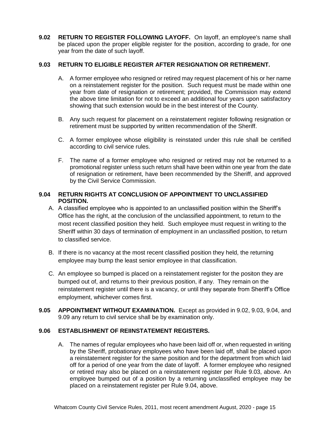**9.02 RETURN TO REGISTER FOLLOWING LAYOFF.** On layoff, an employee's name shall be placed upon the proper eligible register for the position, according to grade, for one year from the date of such layoff.

# **9.03 RETURN TO ELIGIBLE REGISTER AFTER RESIGNATION OR RETIREMENT.**

- A. A former employee who resigned or retired may request placement of his or her name on a reinstatement register for the position. Such request must be made within one year from date of resignation or retirement; provided, the Commission may extend the above time limitation for not to exceed an additional four years upon satisfactory showing that such extension would be in the best interest of the County.
- B. Any such request for placement on a reinstatement register following resignation or retirement must be supported by written recommendation of the Sheriff.
- C. A former employee whose eligibility is reinstated under this rule shall be certified according to civil service rules.
- F. The name of a former employee who resigned or retired may not be returned to a promotional register unless such return shall have been within one year from the date of resignation or retirement, have been recommended by the Sheriff, and approved by the Civil Service Commission.

# **9.04 RETURN RIGHTS AT CONCLUSION OF APPOINTMENT TO UNCLASSIFIED POSITION.**

- A. A classified employee who is appointed to an unclassified position within the Sheriff's Office has the right, at the conclusion of the unclassified appointment, to return to the most recent classified position they held. Such employee must request in writing to the Sheriff within 30 days of termination of employment in an unclassified position, to return to classified service.
- B. If there is no vacancy at the most recent classified position they held, the returning employee may bump the least senior employee in that classification.
- C. An employee so bumped is placed on a reinstatement register for the positon they are bumped out of, and returns to their previous position, if any. They remain on the reinstatement register until there is a vacancy, or until they separate from Sheriff's Office employment, whichever comes first.
- **9.05 APPOINTMENT WITHOUT EXAMINATION.** Except as provided in 9.02, 9.03, 9.04, and 9.09 any return to civil service shall be by examination only.

# **9.06 ESTABLISHMENT OF REIINSTATEMENT REGISTERS.**

A. The names of regular employees who have been laid off or, when requested in writing by the Sheriff, probationary employees who have been laid off, shall be placed upon a reinstatement register for the same position and for the department from which laid off for a period of one year from the date of layoff. A former employee who resigned or retired may also be placed on a reinstatement register per Rule 9.03, above. An employee bumped out of a position by a returning unclassified employee may be placed on a reinstatement register per Rule 9.04, above.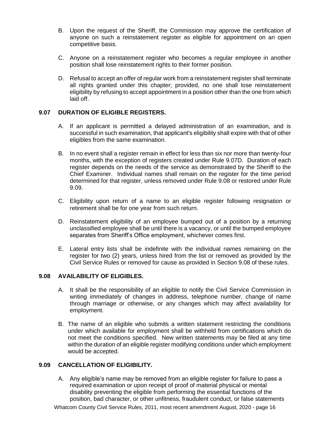- B. Upon the request of the Sheriff, the Commission may approve the certification of anyone on such a reinstatement register as eligible for appointment on an open competitive basis.
- C. Anyone on a reinstatement register who becomes a regular employee in another position shall lose reinstatement rights to their former position.
- D. Refusal to accept an offer of regular work from a reinstatement register shall terminate all rights granted under this chapter; provided, no one shall lose reinstatement eligibility by refusing to accept appointment in a position other than the one from which laid off.

# **9.07 DURATION OF ELIGIBLE REGISTERS.**

- A. If an applicant is permitted a delayed administration of an examination, and is successful in such examination, that applicant's eligibility shall expire with that of other eligibles from the same examination.
- B. In no event shall a register remain in effect for less than six nor more than twenty-four months, with the exception of registers created under Rule 9.07D. Duration of each register depends on the needs of the service as demonstrated by the Sheriff to the Chief Examiner. Individual names shall remain on the register for the time period determined for that register, unless removed under Rule 9.08 or restored under Rule 9.09.
- C. Eligibility upon return of a name to an eligible register following resignation or retirement shall be for one year from such return.
- D. Reinstatement eligibility of an employee bumped out of a position by a returning unclassified employee shall be until there is a vacancy, or until the bumped employee separates from Sheriff's Office employment, whichever comes first.
- E. Lateral entry lists shall be indefinite with the individual names remaining on the register for two (2) years, unless hired from the list or removed as provided by the Civil Service Rules or removed for cause as provided in Section 9.08 of these rules.

# **9.08 AVAILABILITY OF ELIGIBLES.**

- A. It shall be the responsibility of an eligible to notify the Civil Service Commission in writing immediately of changes in address, telephone number, change of name through marriage or otherwise, or any changes which may affect availability for employment.
- B. The name of an eligible who submits a written statement restricting the conditions under which available for employment shall be withheld from certifications which do not meet the conditions specified. New written statements may be filed at any time within the duration of an eligible register modifying conditions under which employment would be accepted.

#### **9.09 CANCELLATION OF ELIGIBILITY.**

A. Any eligible's name may be removed from an eligible register for failure to pass a required examination or upon receipt of proof of material physical or mental disability preventing the eligible from performing the essential functions of the position, bad character, or other unfitness, fraudulent conduct, or false statements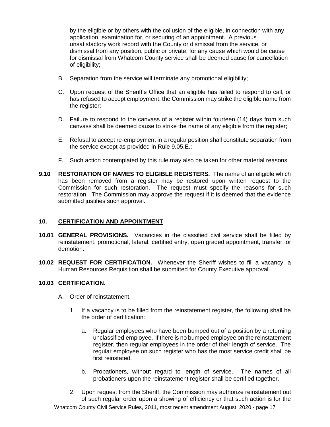by the eligible or by others with the collusion of the eligible, in connection with any application, examination for, or securing of an appointment. A previous unsatisfactory work record with the County or dismissal from the service, or dismissal from any position, public or private, for any cause which would be cause for dismissal from Whatcom County service shall be deemed cause for cancellation of eligibility;

- B. Separation from the service will terminate any promotional eligibility;
- C. Upon request of the Sheriff's Office that an eligible has failed to respond to call, or has refused to accept employment, the Commission may strike the eligible name from the register;
- D. Failure to respond to the canvass of a register within fourteen (14) days from such canvass shall be deemed cause to strike the name of any eligible from the register;
- E. Refusal to accept re-employment in a regular position shall constitute separation from the service except as provided in Rule 9.05.E.;
- F. Such action contemplated by this rule may also be taken for other material reasons.
- **9.10 RESTORATION OF NAMES TO ELIGIBLE REGISTERS.** The name of an eligible which has been removed from a register may be restored upon written request to the Commission for such restoration. The request must specify the reasons for such restoration. The Commission may approve the request if it is deemed that the evidence submitted justifies such approval.

#### **10. CERTIFICATION AND APPOINTMENT**

- **10.01 GENERAL PROVISIONS.** Vacancies in the classified civil service shall be filled by reinstatement, promotional, lateral, certified entry, open graded appointment, transfer, or demotion.
- **10.02 REQUEST FOR CERTIFICATION.** Whenever the Sheriff wishes to fill a vacancy, a Human Resources Requisition shall be submitted for County Executive approval.

#### **10.03 CERTIFICATION.**

- A. Order of reinstatement.
	- 1. If a vacancy is to be filled from the reinstatement register, the following shall be the order of certification:
		- a. Regular employees who have been bumped out of a position by a returning unclassified employee. If there is no bumped employee on the reinstatement register, then regular employees in the order of their length of service. The regular employee on such register who has the most service credit shall be first reinstated.
		- b. Probationers, without regard to length of service. The names of all probationers upon the reinstatement register shall be certified together.
	- 2. Upon request from the Sheriff, the Commission may authorize reinstatement out of such regular order upon a showing of efficiency or that such action is for the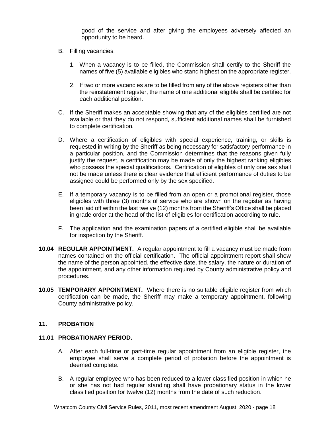good of the service and after giving the employees adversely affected an opportunity to be heard.

- B. Filling vacancies.
	- 1. When a vacancy is to be filled, the Commission shall certify to the Sheriff the names of five (5) available eligibles who stand highest on the appropriate register.
	- 2. If two or more vacancies are to be filled from any of the above registers other than the reinstatement register, the name of one additional eligible shall be certified for each additional position.
- C. If the Sheriff makes an acceptable showing that any of the eligibles certified are not available or that they do not respond, sufficient additional names shall be furnished to complete certification.
- D. Where a certification of eligibles with special experience, training, or skills is requested in writing by the Sheriff as being necessary for satisfactory performance in a particular position, and the Commission determines that the reasons given fully justify the request, a certification may be made of only the highest ranking eligibles who possess the special qualifications. Certification of eligibles of only one sex shall not be made unless there is clear evidence that efficient performance of duties to be assigned could be performed only by the sex specified.
- E. If a temporary vacancy is to be filled from an open or a promotional register, those eligibles with three (3) months of service who are shown on the register as having been laid off within the last twelve (12) months from the Sheriff's Office shall be placed in grade order at the head of the list of eligibles for certification according to rule.
- F. The application and the examination papers of a certified eligible shall be available for inspection by the Sheriff.
- **10.04 REGULAR APPOINTMENT.** A regular appointment to fill a vacancy must be made from names contained on the official certification. The official appointment report shall show the name of the person appointed, the effective date, the salary, the nature or duration of the appointment, and any other information required by County administrative policy and procedures.
- **10.05 TEMPORARY APPOINTMENT.** Where there is no suitable eligible register from which certification can be made, the Sheriff may make a temporary appointment, following County administrative policy.

### **11. PROBATION**

#### **11.01 PROBATIONARY PERIOD.**

- A. After each full-time or part-time regular appointment from an eligible register, the employee shall serve a complete period of probation before the appointment is deemed complete.
- B. A regular employee who has been reduced to a lower classified position in which he or she has not had regular standing shall have probationary status in the lower classified position for twelve (12) months from the date of such reduction.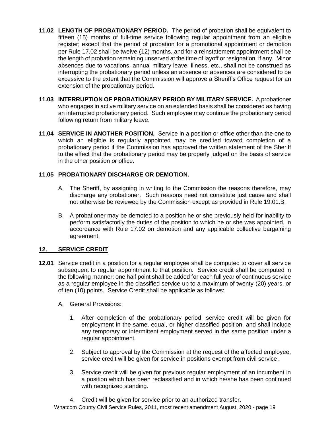- **11.02 LENGTH OF PROBATIONARY PERIOD.** The period of probation shall be equivalent to fifteen (15) months of full-time service following regular appointment from an eligible register; except that the period of probation for a promotional appointment or demotion per Rule 17.02 shall be twelve (12) months, and for a reinstatement appointment shall be the length of probation remaining unserved at the time of layoff or resignation, if any. Minor absences due to vacations, annual military leave, illness, etc., shall not be construed as interrupting the probationary period unless an absence or absences are considered to be excessive to the extent that the Commission will approve a Sheriff's Office request for an extension of the probationary period.
- **11.03 INTERRUPTION OF PROBATIONARY PERIOD BY MILITARY SERVICE.** A probationer who engages in active military service on an extended basis shall be considered as having an interrupted probationary period. Such employee may continue the probationary period following return from military leave.
- **11.04 SERVICE IN ANOTHER POSITION.** Service in a position or office other than the one to which an eligible is regularly appointed may be credited toward completion of a probationary period if the Commission has approved the written statement of the Sheriff to the effect that the probationary period may be properly judged on the basis of service in the other position or office.

# **11.05 PROBATIONARY DISCHARGE OR DEMOTION.**

- A. The Sheriff, by assigning in writing to the Commission the reasons therefore, may discharge any probationer. Such reasons need not constitute just cause and shall not otherwise be reviewed by the Commission except as provided in Rule 19.01.B.
- B. A probationer may be demoted to a position he or she previously held for inability to perform satisfactorily the duties of the position to which he or she was appointed, in accordance with Rule 17.02 on demotion and any applicable collective bargaining agreement.

# **12. SERVICE CREDIT**

- **12.01** Service credit in a position for a regular employee shall be computed to cover all service subsequent to regular appointment to that position. Service credit shall be computed in the following manner: one half point shall be added for each full year of continuous service as a regular employee in the classified service up to a maximum of twenty (20) years, or of ten (10) points. Service Credit shall be applicable as follows:
	- A. General Provisions:
		- 1. After completion of the probationary period, service credit will be given for employment in the same, equal, or higher classified position, and shall include any temporary or intermittent employment served in the same position under a regular appointment.
		- 2. Subject to approval by the Commission at the request of the affected employee, service credit will be given for service in positions exempt from civil service.
		- 3. Service credit will be given for previous regular employment of an incumbent in a position which has been reclassified and in which he/she has been continued with recognized standing.
		- 4. Credit will be given for service prior to an authorized transfer.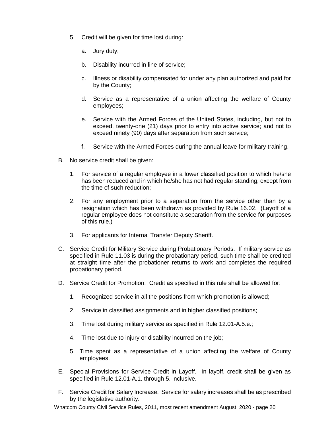- 5. Credit will be given for time lost during:
	- a. Jury duty;
	- b. Disability incurred in line of service;
	- c. Illness or disability compensated for under any plan authorized and paid for by the County;
	- d. Service as a representative of a union affecting the welfare of County employees;
	- e. Service with the Armed Forces of the United States, including, but not to exceed, twenty-one (21) days prior to entry into active service; and not to exceed ninety (90) days after separation from such service;
	- f. Service with the Armed Forces during the annual leave for military training.
- B. No service credit shall be given:
	- 1. For service of a regular employee in a lower classified position to which he/she has been reduced and in which he/she has not had regular standing, except from the time of such reduction;
	- 2. For any employment prior to a separation from the service other than by a resignation which has been withdrawn as provided by Rule 16.02. (Layoff of a regular employee does not constitute a separation from the service for purposes of this rule.)
	- 3. For applicants for Internal Transfer Deputy Sheriff.
- C. Service Credit for Military Service during Probationary Periods. If military service as specified in Rule 11.03 is during the probationary period, such time shall be credited at straight time after the probationer returns to work and completes the required probationary period.
- D. Service Credit for Promotion. Credit as specified in this rule shall be allowed for:
	- 1. Recognized service in all the positions from which promotion is allowed;
	- 2. Service in classified assignments and in higher classified positions;
	- 3. Time lost during military service as specified in Rule 12.01-A.5.e.;
	- 4. Time lost due to injury or disability incurred on the job;
	- 5. Time spent as a representative of a union affecting the welfare of County employees.
- E. Special Provisions for Service Credit in Layoff. In layoff, credit shall be given as specified in Rule 12.01-A.1. through 5. inclusive.
- F. Service Credit for Salary Increase. Service for salary increases shall be as prescribed by the legislative authority.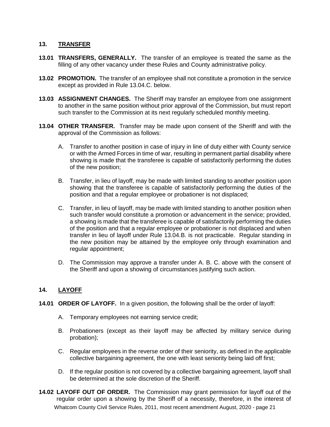# **13. TRANSFER**

- **13.01 TRANSFERS, GENERALLY.** The transfer of an employee is treated the same as the filling of any other vacancy under these Rules and County administrative policy.
- **13.02 PROMOTION.** The transfer of an employee shall not constitute a promotion in the service except as provided in Rule 13.04.C. below.
- **13.03 ASSIGNMENT CHANGES.** The Sheriff may transfer an employee from one assignment to another in the same position without prior approval of the Commission, but must report such transfer to the Commission at its next regularly scheduled monthly meeting.
- **13.04 OTHER TRANSFER.** Transfer may be made upon consent of the Sheriff and with the approval of the Commission as follows:
	- A. Transfer to another position in case of injury in line of duty either with County service or with the Armed Forces in time of war, resulting in permanent partial disability where showing is made that the transferee is capable of satisfactorily performing the duties of the new position;
	- B. Transfer, in lieu of layoff, may be made with limited standing to another position upon showing that the transferee is capable of satisfactorily performing the duties of the position and that a regular employee or probationer is not displaced;
	- C. Transfer, in lieu of layoff, may be made with limited standing to another position when such transfer would constitute a promotion or advancement in the service; provided, a showing is made that the transferee is capable of satisfactorily performing the duties of the position and that a regular employee or probationer is not displaced and when transfer in lieu of layoff under Rule 13.04.B. is not practicable. Regular standing in the new position may be attained by the employee only through examination and regular appointment;
	- D. The Commission may approve a transfer under A. B. C. above with the consent of the Sheriff and upon a showing of circumstances justifying such action.

#### **14. LAYOFF**

- **14.01 ORDER OF LAYOFF.** In a given position, the following shall be the order of layoff:
	- A. Temporary employees not earning service credit;
	- B. Probationers (except as their layoff may be affected by military service during probation);
	- C. Regular employees in the reverse order of their seniority, as defined in the applicable collective bargaining agreement, the one with least seniority being laid off first;
	- D. If the regular position is not covered by a collective bargaining agreement, layoff shall be determined at the sole discretion of the Sheriff.
- Whatcom County Civil Service Rules, 2011, most recent amendment August, 2020 page 21 **14.02 LAYOFF OUT OF ORDER.** The Commission may grant permission for layoff out of the regular order upon a showing by the Sheriff of a necessity, therefore, in the interest of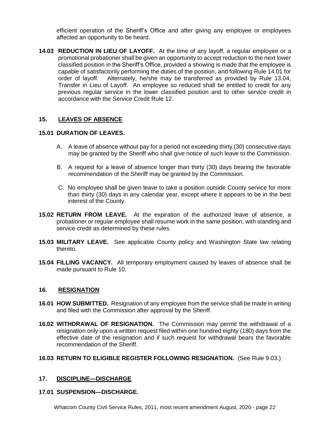efficient operation of the Sheriff's Office and after giving any employee or employees affected an opportunity to be heard.

**14.03 REDUCTION IN LIEU OF LAYOFF.** At the time of any layoff, a regular employee or a promotional probationer shall be given an opportunity to accept reduction to the next lower classified position in the Sheriff's Office, provided a showing is made that the employee is capable of satisfactorily performing the duties of the position, and following Rule 14.01 for order of layoff. Alternately, he/she may be transferred as provided by Rule 13.04, Transfer in Lieu of Layoff. An employee so reduced shall be entitled to credit for any previous regular service in the lower classified position and to other service credit in accordance with the Service Credit Rule 12.

### **15. LEAVES OF ABSENCE**

#### **15.01 DURATION OF LEAVES.**

- A. A leave of absence without pay for a period not exceeding thirty (30) consecutive days may be granted by the Sheriff who shall give notice of such leave to the Commission.
- B. A request for a leave of absence longer than thirty (30) days bearing the favorable recommendation of the Sheriff may be granted by the Commission.
- C. No employee shall be given leave to take a position outside County service for more than thirty (30) days in any calendar year, except where it appears to be in the best interest of the County.
- **15.02 RETURN FROM LEAVE.** At the expiration of the authorized leave of absence, a probationer or regular employee shall resume work in the same position, with standing and service credit as determined by these rules.
- **15.03 MILITARY LEAVE.** See applicable County policy and Washington State law relating thereto.
- **15.04 FILLING VACANCY.** All temporary employment caused by leaves of absence shall be made pursuant to Rule 10.

#### **16. RESIGNATION**

- **16.01 HOW SUBMITTED.** Resignation of any employee from the service shall be made in writing and filed with the Commission after approval by the Sheriff.
- **16.02 WITHDRAWAL OF RESIGNATION.** The Commission may permit the withdrawal of a resignation only upon a written request filed within one hundred eighty (180) days from the effective date of the resignation and if such request for withdrawal bears the favorable recommendation of the Sheriff.

#### **16.03 RETURN TO ELIGIBLE REGISTER FOLLOWING RESIGNATION.** (See Rule 9.03.)

#### **17. DISCIPLINE—DISCHARGE**

#### **17.01 SUSPENSION—DISCHARGE.**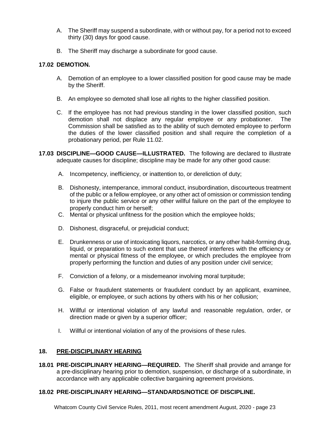- A. The Sheriff may suspend a subordinate, with or without pay, for a period not to exceed thirty (30) days for good cause.
- B. The Sheriff may discharge a subordinate for good cause.

# **17.02 DEMOTION.**

- A. Demotion of an employee to a lower classified position for good cause may be made by the Sheriff.
- B. An employee so demoted shall lose all rights to the higher classified position.
- C. If the employee has not had previous standing in the lower classified position, such demotion shall not displace any regular employee or any probationer. The Commission shall be satisfied as to the ability of such demoted employee to perform the duties of the lower classified position and shall require the completion of a probationary period, per Rule 11.02.
- **17.03 DISCIPLINE—GOOD CAUSE—ILLUSTRATED.** The following are declared to illustrate adequate causes for discipline; discipline may be made for any other good cause:
	- A. Incompetency, inefficiency, or inattention to, or dereliction of duty;
	- B. Dishonesty, intemperance, immoral conduct, insubordination, discourteous treatment of the public or a fellow employee, or any other act of omission or commission tending to injure the public service or any other willful failure on the part of the employee to properly conduct him or herself;
	- C. Mental or physical unfitness for the position which the employee holds;
	- D. Dishonest, disgraceful, or prejudicial conduct;
	- E. Drunkenness or use of intoxicating liquors, narcotics, or any other habit-forming drug, liquid, or preparation to such extent that use thereof interferes with the efficiency or mental or physical fitness of the employee, or which precludes the employee from properly performing the function and duties of any position under civil service;
	- F. Conviction of a felony, or a misdemeanor involving moral turpitude;
	- G. False or fraudulent statements or fraudulent conduct by an applicant, examinee, eligible, or employee, or such actions by others with his or her collusion;
	- H. Willful or intentional violation of any lawful and reasonable regulation, order, or direction made or given by a superior officer;
	- I. Willful or intentional violation of any of the provisions of these rules.

# **18. PRE-DISCIPLINARY HEARING**

**18.01 PRE-DISCIPLINARY HEARING—REQUIRED.** The Sheriff shall provide and arrange for a pre-disciplinary hearing prior to demotion, suspension, or discharge of a subordinate, in accordance with any applicable collective bargaining agreement provisions.

# **18.02 PRE-DISCIPLINARY HEARING—STANDARDS/NOTICE OF DISCIPLINE.**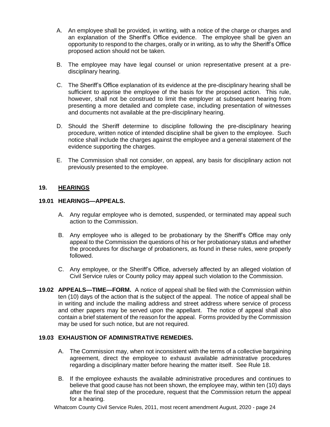- A. An employee shall be provided, in writing, with a notice of the charge or charges and an explanation of the Sheriff's Office evidence. The employee shall be given an opportunity to respond to the charges, orally or in writing, as to why the Sheriff's Office proposed action should not be taken.
- B. The employee may have legal counsel or union representative present at a predisciplinary hearing.
- C. The Sheriff's Office explanation of its evidence at the pre-disciplinary hearing shall be sufficient to apprise the employee of the basis for the proposed action. This rule, however, shall not be construed to limit the employer at subsequent hearing from presenting a more detailed and complete case, including presentation of witnesses and documents not available at the pre-disciplinary hearing.
- D. Should the Sheriff determine to discipline following the pre-disciplinary hearing procedure, written notice of intended discipline shall be given to the employee. Such notice shall include the charges against the employee and a general statement of the evidence supporting the charges.
- E. The Commission shall not consider, on appeal, any basis for disciplinary action not previously presented to the employee.

# **19. HEARINGS**

### **19.01 HEARINGS—APPEALS.**

- A. Any regular employee who is demoted, suspended, or terminated may appeal such action to the Commission.
- B. Any employee who is alleged to be probationary by the Sheriff's Office may only appeal to the Commission the questions of his or her probationary status and whether the procedures for discharge of probationers, as found in these rules, were properly followed.
- C. Any employee, or the Sheriff's Office, adversely affected by an alleged violation of Civil Service rules or County policy may appeal such violation to the Commission.
- **19.02 APPEALS—TIME—FORM.** A notice of appeal shall be filed with the Commission within ten (10) days of the action that is the subject of the appeal. The notice of appeal shall be in writing and include the mailing address and street address where service of process and other papers may be served upon the appellant. The notice of appeal shall also contain a brief statement of the reason for the appeal. Forms provided by the Commission may be used for such notice, but are not required.

#### **19.03 EXHAUSTION OF ADMINISTRATIVE REMEDIES.**

- A. The Commission may, when not inconsistent with the terms of a collective bargaining agreement, direct the employee to exhaust available administrative procedures regarding a disciplinary matter before hearing the matter itself. See Rule 18.
- B. If the employee exhausts the available administrative procedures and continues to believe that good cause has not been shown, the employee may, within ten (10) days after the final step of the procedure, request that the Commission return the appeal for a hearing.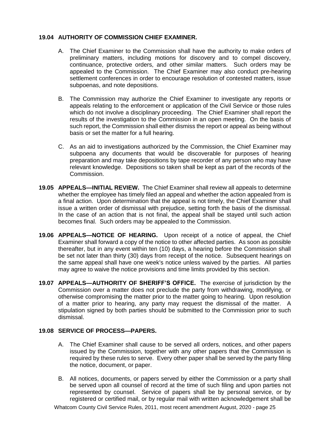# **19.04 AUTHORITY OF COMMISSION CHIEF EXAMINER.**

- A. The Chief Examiner to the Commission shall have the authority to make orders of preliminary matters, including motions for discovery and to compel discovery, continuance, protective orders, and other similar matters. Such orders may be appealed to the Commission. The Chief Examiner may also conduct pre-hearing settlement conferences in order to encourage resolution of contested matters, issue subpoenas, and note depositions.
- B. The Commission may authorize the Chief Examiner to investigate any reports or appeals relating to the enforcement or application of the Civil Service or those rules which do not involve a disciplinary proceeding. The Chief Examiner shall report the results of the investigation to the Commission in an open meeting. On the basis of such report, the Commission shall either dismiss the report or appeal as being without basis or set the matter for a full hearing.
- C. As an aid to investigations authorized by the Commission, the Chief Examiner may subpoena any documents that would be discoverable for purposes of hearing preparation and may take depositions by tape recorder of any person who may have relevant knowledge. Depositions so taken shall be kept as part of the records of the Commission.
- **19.05 APPEALS—INITIAL REVIEW.** The Chief Examiner shall review all appeals to determine whether the employee has timely filed an appeal and whether the action appealed from is a final action. Upon determination that the appeal is not timely, the Chief Examiner shall issue a written order of dismissal with prejudice, setting forth the basis of the dismissal. In the case of an action that is not final, the appeal shall be stayed until such action becomes final. Such orders may be appealed to the Commission.
- **19.06 APPEALS—NOTICE OF HEARING.** Upon receipt of a notice of appeal, the Chief Examiner shall forward a copy of the notice to other affected parties. As soon as possible thereafter, but in any event within ten (10) days, a hearing before the Commission shall be set not later than thirty (30) days from receipt of the notice. Subsequent hearings on the same appeal shall have one week's notice unless waived by the parties. All parties may agree to waive the notice provisions and time limits provided by this section.
- **19.07 APPEALS—AUTHORITY OF SHERIFF'S OFFICE.** The exercise of jurisdiction by the Commission over a matter does not preclude the party from withdrawing, modifying, or otherwise compromising the matter prior to the matter going to hearing. Upon resolution of a matter prior to hearing, any party may request the dismissal of the matter. A stipulation signed by both parties should be submitted to the Commission prior to such dismissal.

# **19.08 SERVICE OF PROCESS—PAPERS.**

- A. The Chief Examiner shall cause to be served all orders, notices, and other papers issued by the Commission, together with any other papers that the Commission is required by these rules to serve. Every other paper shall be served by the party filing the notice, document, or paper.
- B. All notices, documents, or papers served by either the Commission or a party shall be served upon all counsel of record at the time of such filing and upon parties not represented by counsel. Service of papers shall be by personal service, or by registered or certified mail, or by regular mail with written acknowledgement shall be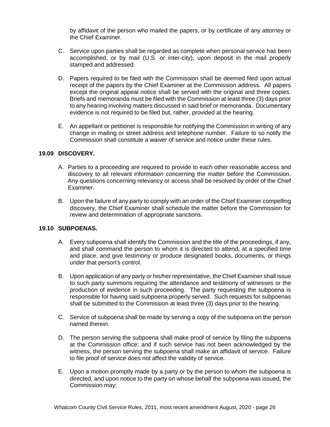by affidavit of the person who mailed the papers, or by certificate of any attorney or the Chief Examiner.

- C. Service upon parties shall be regarded as complete when personal service has been accomplished, or by mail (U.S. or inter-city), upon deposit in the mail properly stamped and addressed.
- D. Papers required to be filed with the Commission shaIl be deemed filed upon actual receipt of the papers by the Chief Examiner at the Commission address. All papers except the original appeal notice shall be served with the original and three copies. Briefs and memoranda must be filed with the Commission at least three (3) days prior to any hearing involving matters discussed in said brief or memoranda. Documentary evidence is not required to be filed but, rather, provided at the hearing.
- E. An appellant or petitioner is responsible for notifying the Commission in writing of any change in mailing or street address and telephone number. Failure to so notify the Commission shall constitute a waiver of service and notice under these rules.

### **19.09 DISCOVERY.**

- A. Parties to a proceeding are required to provide to each other reasonable access and discovery to all relevant information concerning the matter before the Commission. Any questions concerning relevancy or access shall be resolved by order of the Chief Examiner.
- B. Upon the failure of any party to comply with an order of the Chief Examiner compelling discovery, the Chief Examiner shall schedule the matter before the Commission for review and determination of appropriate sanctions.

# **19.10 SUBPOENAS.**

- A. Every subpoena shall identify the Commission and the title of the proceedings, if any, and shall command the person to whom it is directed to attend, at a specified time and place, and give testimony or produce designated books, documents, or things under that person's control.
- B. Upon application of any party or his/her representative, the Chief Examiner shall issue to such party summons requiring the attendance and testimony of witnesses or the production of evidence in such proceeding. The party requesting the subpoena is responsible for having said subpoena properly served. Such requests for subpoenas shall be submitted to the Commission at least three (3) days prior to the hearing.
- C. Service of subpoena shall be made by serving a copy of the subpoena on the person named therein.
- D. The person serving the subpoena shall make proof of service by filing the subpoena at the Commission office; and if such service has not been acknowledged by the witness, the person serving the subpoena shall make an affidavit of service. Failure to file proof of service does not affect the validity of service.
- E. Upon a motion promptly made by a party or by the person to whom the subpoena is directed, and upon notice to the party on whose behalf the subpoena was issued, the Commission may: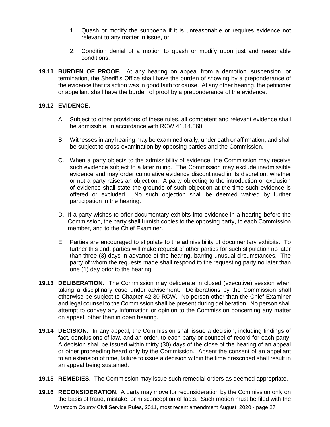- 1. Quash or modify the subpoena if it is unreasonable or requires evidence not relevant to any matter in issue, or
- 2. Condition denial of a motion to quash or modify upon just and reasonable conditions.
- **19.11 BURDEN OF PROOF.** At any hearing on appeal from a demotion, suspension, or termination, the Sheriff's Office shall have the burden of showing by a preponderance of the evidence that its action was in good faith for cause. At any other hearing, the petitioner or appellant shall have the burden of proof by a preponderance of the evidence.

# **19.12 EVIDENCE.**

- A. Subject to other provisions of these rules, all competent and relevant evidence shall be admissible, in accordance with RCW 41.14.060.
- B. Witnesses in any hearing may be examined orally, under oath or affirmation, and shall be subject to cross-examination by opposing parties and the Commission.
- C. When a party objects to the admissibility of evidence, the Commission may receive such evidence subject to a later ruling. The Commission may exclude inadmissible evidence and may order cumulative evidence discontinued in its discretion, whether or not a party raises an objection. A party objecting to the introduction or exclusion of evidence shall state the grounds of such objection at the time such evidence is offered or excluded. No such objection shall be deemed waived by further participation in the hearing.
- D. If a party wishes to offer documentary exhibits into evidence in a hearing before the Commission, the party shall furnish copies to the opposing party, to each Commission member, and to the Chief Examiner.
- E. Parties are encouraged to stipulate to the admissibility of documentary exhibits. To further this end, parties will make request of other parties for such stipulation no later than three (3) days in advance of the hearing, barring unusual circumstances. The party of whom the requests made shall respond to the requesting party no later than one (1) day prior to the hearing.
- **19.13 DELIBERATION.** The Commission may deliberate in closed (executive) session when taking a disciplinary case under advisement. Deliberations by the Commission shall otherwise be subject to Chapter 42.30 RCW. No person other than the Chief Examiner and legal counsel to the Commission shall be present during deliberation. No person shall attempt to convey any information or opinion to the Commission concerning any matter on appeal, other than in open hearing.
- **19.14 DECISION.** In any appeal, the Commission shall issue a decision, including findings of fact, conclusions of law, and an order, to each party or counsel of record for each party. A decision shall be issued within thirty (30) days of the close of the hearing of an appeal or other proceeding heard only by the Commission. Absent the consent of an appellant to an extension of time, failure to issue a decision within the time prescribed shall result in an appeal being sustained.
- **19.15 REMEDIES.** The Commission may issue such remedial orders as deemed appropriate.
- Whatcom County Civil Service Rules, 2011, most recent amendment August, 2020 page 27 **19.16 RECONSIDERATION.** A party may move for reconsideration by the Commission only on the basis of fraud, mistake, or misconception of facts. Such motion must be filed with the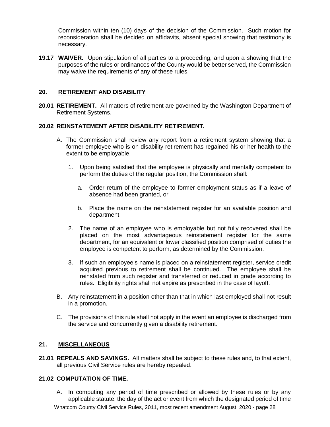Commission within ten (10) days of the decision of the Commission. Such motion for reconsideration shall be decided on affidavits, absent special showing that testimony is necessary.

**19.17 WAIVER.** Upon stipulation of all parties to a proceeding, and upon a showing that the purposes of the rules or ordinances of the County would be better served, the Commission may waive the requirements of any of these rules.

# **20. RETIREMENT AND DISABILITY**

**20.01 RETIREMENT.** All matters of retirement are governed by the Washington Department of Retirement Systems.

# **20.02 REINSTATEMENT AFTER DISABILITY RETIREMENT.**

- A. The Commission shall review any report from a retirement system showing that a former employee who is on disability retirement has regained his or her health to the extent to be employable.
	- 1. Upon being satisfied that the employee is physically and mentally competent to perform the duties of the regular position, the Commission shall:
		- a. Order return of the employee to former employment status as if a leave of absence had been granted, or
		- b. Place the name on the reinstatement register for an available position and department.
	- 2. The name of an employee who is employable but not fully recovered shall be placed on the most advantageous reinstatement register for the same department, for an equivalent or lower classified position comprised of duties the employee is competent to perform, as determined by the Commission.
	- 3. If such an employee's name is placed on a reinstatement register, service credit acquired previous to retirement shall be continued. The employee shall be reinstated from such register and transferred or reduced in grade according to rules. Eligibility rights shall not expire as prescribed in the case of layoff.
- B. Any reinstatement in a position other than that in which last employed shall not result in a promotion.
- C. The provisions of this rule shall not apply in the event an employee is discharged from the service and concurrently given a disability retirement.

### **21. MISCELLANEOUS**

**21.01 REPEALS AND SAVINGS.** All matters shall be subject to these rules and, to that extent, all previous Civil Service rules are hereby repealed.

# **21.02 COMPUTATION OF TIME.**

Whatcom County Civil Service Rules, 2011, most recent amendment August, 2020 - page 28 A. In computing any period of time prescribed or allowed by these rules or by any applicable statute, the day of the act or event from which the designated period of time